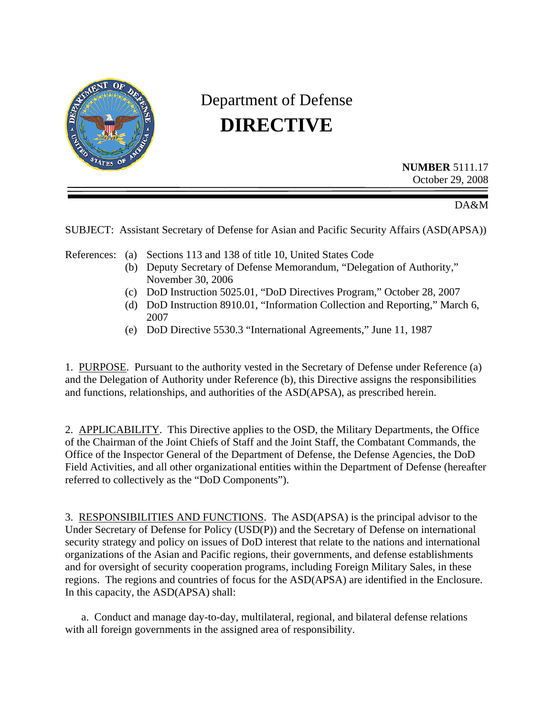

## Department of Defense **DIRECTIVE**

**NUMBER** 5111.17 October 29, 2008

DA&M

SUBJECT: Assistant Secretary of Defense for Asian and Pacific Security Affairs (ASD(APSA))

References: (a) Sections 113 and 138 of title 10, United States Code

- (b) Deputy Secretary of Defense Memorandum, "Delegation of Authority," November 30, 2006
- (c) DoD Instruction 5025.01, "DoD Directives Program," October 28, 2007
- (d) DoD Instruction 8910.01, "Information Collection and Reporting," March 6, 2007
- (e) DoD Directive 5530.3 "International Agreements," June 11, 1987

1. PURPOSE. Pursuant to the authority vested in the Secretary of Defense under Reference (a) and the Delegation of Authority under Reference (b), this Directive assigns the responsibilities and functions, relationships, and authorities of the ASD(APSA), as prescribed herein.

2. APPLICABILITY. This Directive applies to the OSD, the Military Departments, the Office of the Chairman of the Joint Chiefs of Staff and the Joint Staff, the Combatant Commands, the Office of the Inspector General of the Department of Defense, the Defense Agencies, the DoD Field Activities, and all other organizational entities within the Department of Defense (hereafter referred to collectively as the "DoD Components").

3. RESPONSIBILITIES AND FUNCTIONS. The ASD(APSA) is the principal advisor to the Under Secretary of Defense for Policy (USD(P)) and the Secretary of Defense on international security strategy and policy on issues of DoD interest that relate to the nations and international organizations of the Asian and Pacific regions, their governments, and defense establishments and for oversight of security cooperation programs, including Foreign Military Sales, in these regions. The regions and countries of focus for the ASD(APSA) are identified in the Enclosure. In this capacity, the ASD(APSA) shall:

a. Conduct and manage day-to-day, multilateral, regional, and bilateral defense relations with all foreign governments in the assigned area of responsibility.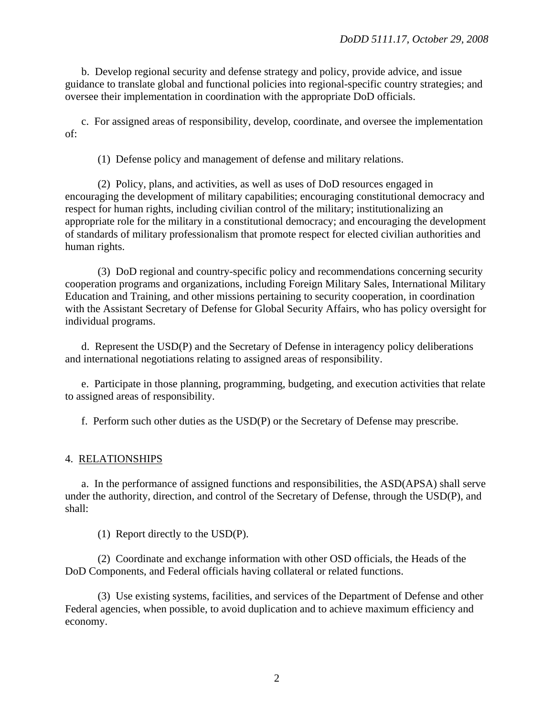b. Develop regional security and defense strategy and policy, provide advice, and issue guidance to translate global and functional policies into regional-specific country strategies; and oversee their implementation in coordination with the appropriate DoD officials.

c. For assigned areas of responsibility, develop, coordinate, and oversee the implementation of:

(1) Defense policy and management of defense and military relations.

(2) Policy, plans, and activities, as well as uses of DoD resources engaged in encouraging the development of military capabilities; encouraging constitutional democracy and respect for human rights, including civilian control of the military; institutionalizing an appropriate role for the military in a constitutional democracy; and encouraging the development of standards of military professionalism that promote respect for elected civilian authorities and human rights.

(3) DoD regional and country-specific policy and recommendations concerning security cooperation programs and organizations, including Foreign Military Sales, International Military Education and Training, and other missions pertaining to security cooperation, in coordination with the Assistant Secretary of Defense for Global Security Affairs, who has policy oversight for individual programs.

d. Represent the USD(P) and the Secretary of Defense in interagency policy deliberations and international negotiations relating to assigned areas of responsibility.

e. Participate in those planning, programming, budgeting, and execution activities that relate to assigned areas of responsibility.

f. Perform such other duties as the USD(P) or the Secretary of Defense may prescribe.

## 4. RELATIONSHIPS

a. In the performance of assigned functions and responsibilities, the ASD(APSA) shall serve under the authority, direction, and control of the Secretary of Defense, through the USD(P), and shall:

(1) Report directly to the USD(P).

(2) Coordinate and exchange information with other OSD officials, the Heads of the DoD Components, and Federal officials having collateral or related functions.

(3) Use existing systems, facilities, and services of the Department of Defense and other Federal agencies, when possible, to avoid duplication and to achieve maximum efficiency and economy.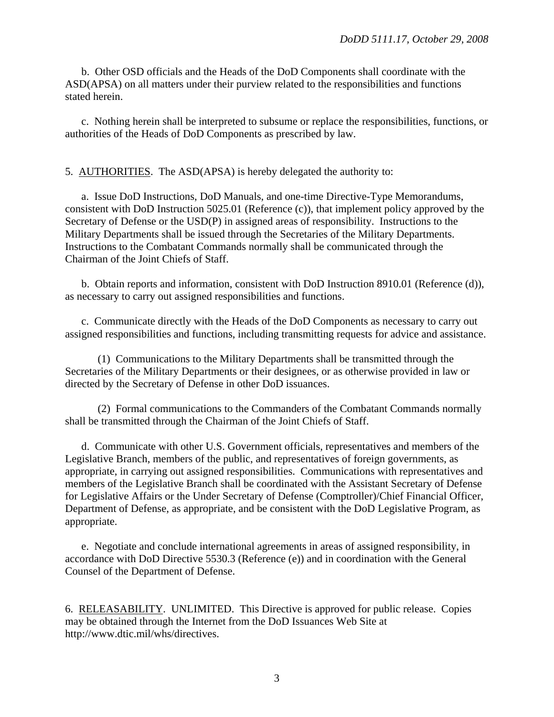b. Other OSD officials and the Heads of the DoD Components shall coordinate with the ASD(APSA) on all matters under their purview related to the responsibilities and functions stated herein.

c. Nothing herein shall be interpreted to subsume or replace the responsibilities, functions, or authorities of the Heads of DoD Components as prescribed by law.

5. AUTHORITIES. The ASD(APSA) is hereby delegated the authority to:

 a. Issue DoD Instructions, DoD Manuals, and one-time Directive-Type Memorandums, consistent with DoD Instruction 5025.01 (Reference (c)), that implement policy approved by the Secretary of Defense or the USD(P) in assigned areas of responsibility. Instructions to the Military Departments shall be issued through the Secretaries of the Military Departments. Instructions to the Combatant Commands normally shall be communicated through the Chairman of the Joint Chiefs of Staff.

 b. Obtain reports and information, consistent with DoD Instruction 8910.01 (Reference (d)), as necessary to carry out assigned responsibilities and functions.

c. Communicate directly with the Heads of the DoD Components as necessary to carry out assigned responsibilities and functions, including transmitting requests for advice and assistance.

(1) Communications to the Military Departments shall be transmitted through the Secretaries of the Military Departments or their designees, or as otherwise provided in law or directed by the Secretary of Defense in other DoD issuances.

(2) Formal communications to the Commanders of the Combatant Commands normally shall be transmitted through the Chairman of the Joint Chiefs of Staff.

 d. Communicate with other U.S. Government officials, representatives and members of the Legislative Branch, members of the public, and representatives of foreign governments, as appropriate, in carrying out assigned responsibilities. Communications with representatives and members of the Legislative Branch shall be coordinated with the Assistant Secretary of Defense for Legislative Affairs or the Under Secretary of Defense (Comptroller)/Chief Financial Officer, Department of Defense, as appropriate, and be consistent with the DoD Legislative Program, as appropriate.

 e. Negotiate and conclude international agreements in areas of assigned responsibility, in accordance with DoD Directive 5530.3 (Reference (e)) and in coordination with the General Counsel of the Department of Defense.

6. RELEASABILITY. UNLIMITED. This Directive is approved for public release. Copies may be obtained through the Internet from the DoD Issuances Web Site at http://www.dtic.mil/whs/directives.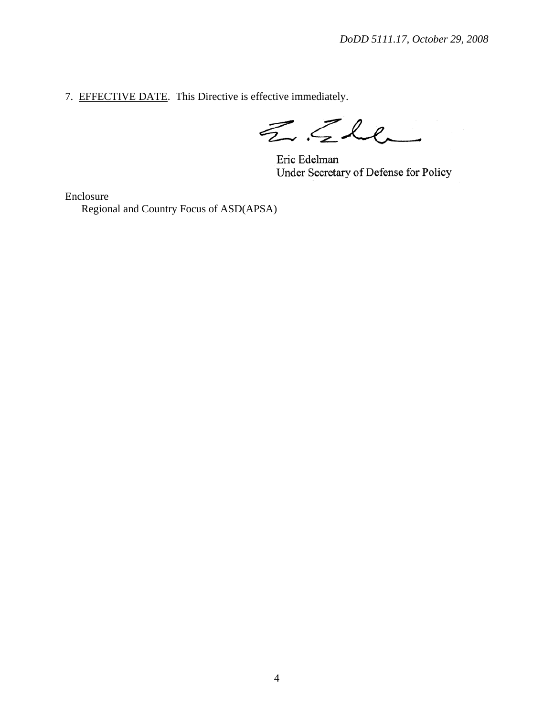7. EFFECTIVE DATE. This Directive is effective immediately.

 $ZCL$ 

Eric Edelman Under Secretary of Defense for Policy

Enclosure Regional and Country Focus of ASD(APSA)